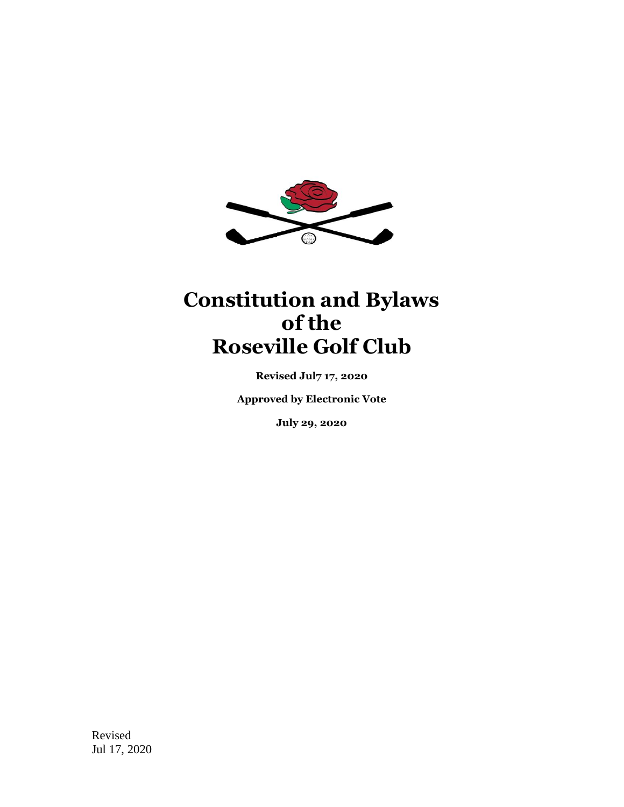

# **Constitution and Bylaws of the Roseville Golf Club**

**Revised Jul7 17, 2020**

**Approved by Electronic Vote**

**July 29, 2020**

Revised Jul 17, 2020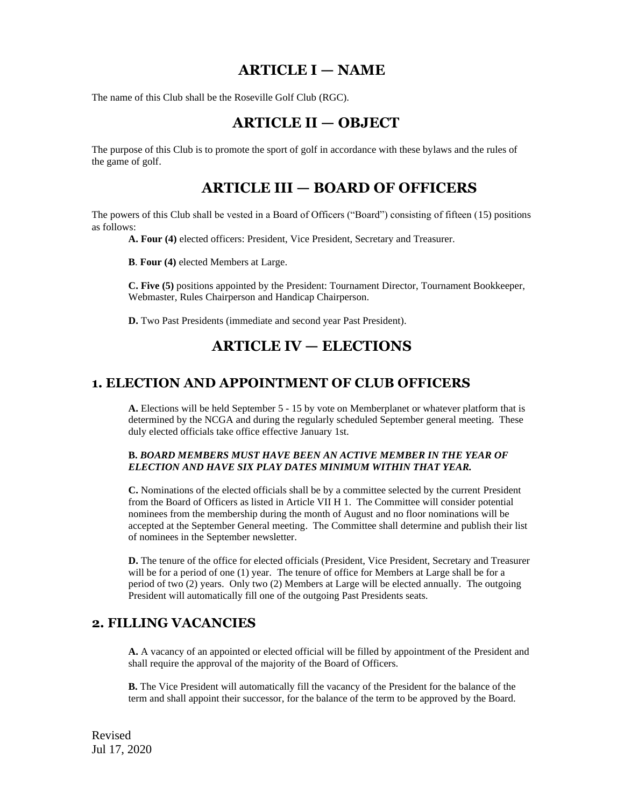### **ARTICLE I — NAME**

The name of this Club shall be the Roseville Golf Club (RGC).

### **ARTICLE II — OBJECT**

The purpose of this Club is to promote the sport of golf in accordance with these bylaws and the rules of the game of golf.

### **ARTICLE III — BOARD OF OFFICERS**

The powers of this Club shall be vested in a Board of Officers ("Board") consisting of fifteen (15) positions as follows:

**A. Four (4)** elected officers: President, Vice President, Secretary and Treasurer.

**B**. **Four (4)** elected Members at Large.

**C. Five (5)** positions appointed by the President: Tournament Director, Tournament Bookkeeper, Webmaster, Rules Chairperson and Handicap Chairperson.

**D.** Two Past Presidents (immediate and second year Past President).

### **ARTICLE IV — ELECTIONS**

#### **1. ELECTION AND APPOINTMENT OF CLUB OFFICERS**

**A.** Elections will be held September 5 - 15 by vote on Memberplanet or whatever platform that is determined by the NCGA and during the regularly scheduled September general meeting. These duly elected officials take office effective January 1st.

#### **B.** *BOARD MEMBERS MUST HAVE BEEN AN ACTIVE MEMBER IN THE YEAR OF ELECTION AND HAVE SIX PLAY DATES MINIMUM WITHIN THAT YEAR.*

**C.** Nominations of the elected officials shall be by a committee selected by the current President from the Board of Officers as listed in Article VII H 1. The Committee will consider potential nominees from the membership during the month of August and no floor nominations will be accepted at the September General meeting. The Committee shall determine and publish their list of nominees in the September newsletter.

**D.** The tenure of the office for elected officials (President, Vice President, Secretary and Treasurer will be for a period of one (1) year. The tenure of office for Members at Large shall be for a period of two (2) years. Only two (2) Members at Large will be elected annually. The outgoing President will automatically fill one of the outgoing Past Presidents seats.

#### **2. FILLING VACANCIES**

**A.** A vacancy of an appointed or elected official will be filled by appointment of the President and shall require the approval of the majority of the Board of Officers.

**B.** The Vice President will automatically fill the vacancy of the President for the balance of the term and shall appoint their successor, for the balance of the term to be approved by the Board.

Revised Jul 17, 2020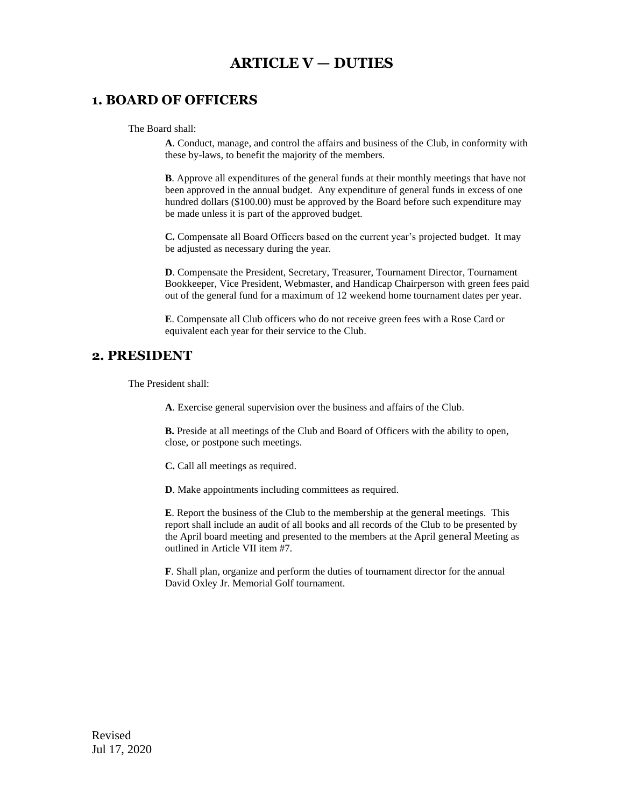### **ARTICLE V — DUTIES**

#### **1. BOARD OF OFFICERS**

The Board shall:

**A**. Conduct, manage, and control the affairs and business of the Club, in conformity with these by-laws, to benefit the majority of the members.

**B**. Approve all expenditures of the general funds at their monthly meetings that have not been approved in the annual budget. Any expenditure of general funds in excess of one hundred dollars (\$100.00) must be approved by the Board before such expenditure may be made unless it is part of the approved budget.

**C.** Compensate all Board Officers based on the current year's projected budget. It may be adjusted as necessary during the year.

**D**. Compensate the President, Secretary, Treasurer, Tournament Director, Tournament Bookkeeper, Vice President, Webmaster, and Handicap Chairperson with green fees paid out of the general fund for a maximum of 12 weekend home tournament dates per year.

**E**. Compensate all Club officers who do not receive green fees with a Rose Card or equivalent each year for their service to the Club.

#### **2. PRESIDENT**

The President shall:

**A**. Exercise general supervision over the business and affairs of the Club.

**B.** Preside at all meetings of the Club and Board of Officers with the ability to open, close, or postpone such meetings.

**C.** Call all meetings as required.

**D**. Make appointments including committees as required.

**E**. Report the business of the Club to the membership at the general meetings. This report shall include an audit of all books and all records of the Club to be presented by the April board meeting and presented to the members at the April general Meeting as outlined in Article VII item #7.

**F**. Shall plan, organize and perform the duties of tournament director for the annual David Oxley Jr. Memorial Golf tournament.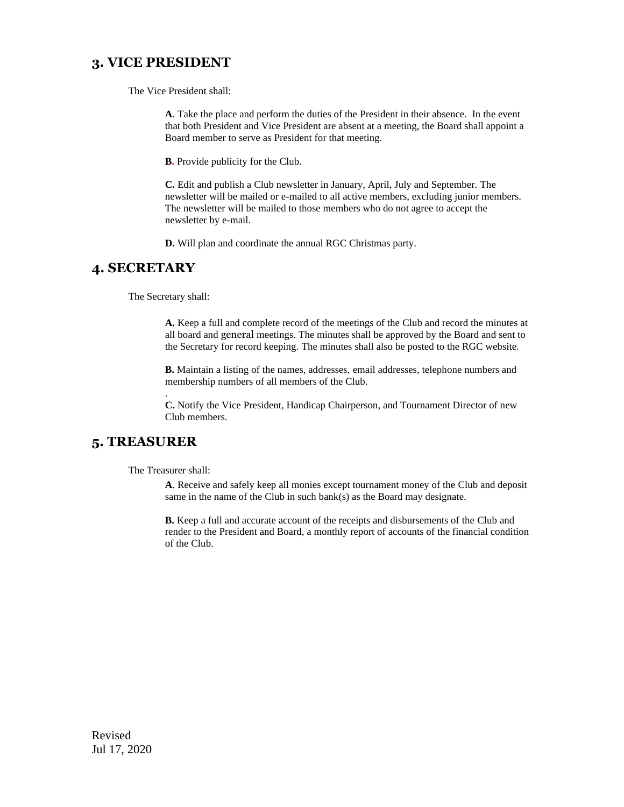#### **3. VICE PRESIDENT**

The Vice President shall:

**A**. Take the place and perform the duties of the President in their absence. In the event that both President and Vice President are absent at a meeting, the Board shall appoint a Board member to serve as President for that meeting.

**B.** Provide publicity for the Club.

**C.** Edit and publish a Club newsletter in January, April, July and September. The newsletter will be mailed or e-mailed to all active members, excluding junior members. The newsletter will be mailed to those members who do not agree to accept the newsletter by e-mail.

**D.** Will plan and coordinate the annual RGC Christmas party.

#### **4. SECRETARY**

The Secretary shall:

**A.** Keep a full and complete record of the meetings of the Club and record the minutes at all board and general meetings. The minutes shall be approved by the Board and sent to the Secretary for record keeping. The minutes shall also be posted to the RGC website.

**B.** Maintain a listing of the names, addresses, email addresses, telephone numbers and membership numbers of all members of the Club.

**C.** Notify the Vice President, Handicap Chairperson, and Tournament Director of new Club members.

#### **5. TREASURER**

The Treasurer shall:

.

**A**. Receive and safely keep all monies except tournament money of the Club and deposit same in the name of the Club in such bank(s) as the Board may designate.

**B.** Keep a full and accurate account of the receipts and disbursements of the Club and render to the President and Board, a monthly report of accounts of the financial condition of the Club.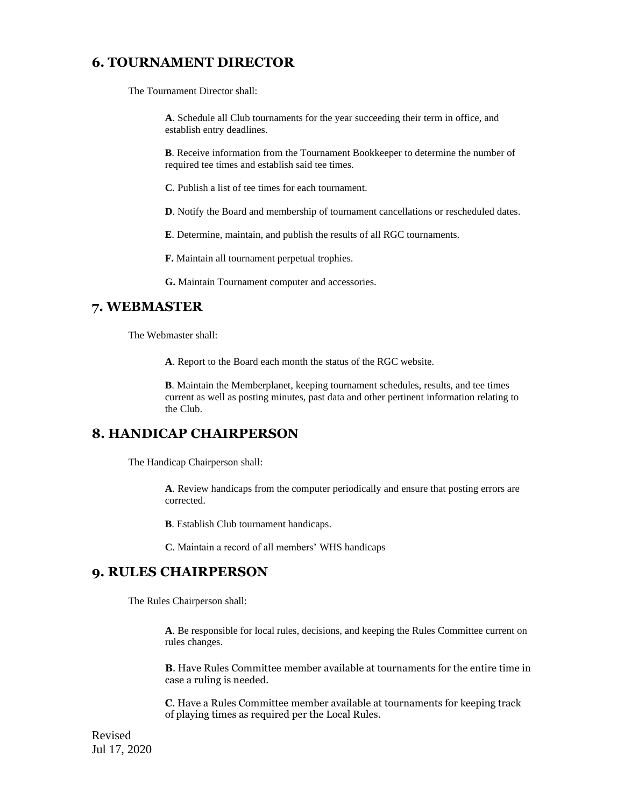### **6. TOURNAMENT DIRECTOR**

The Tournament Director shall:

**A**. Schedule all Club tournaments for the year succeeding their term in office, and establish entry deadlines.

**B**. Receive information from the Tournament Bookkeeper to determine the number of required tee times and establish said tee times.

**C**. Publish a list of tee times for each tournament.

**D**. Notify the Board and membership of tournament cancellations or rescheduled dates.

**E**. Determine, maintain, and publish the results of all RGC tournaments.

**F.** Maintain all tournament perpetual trophies.

**G.** Maintain Tournament computer and accessories.

#### **7. WEBMASTER**

The Webmaster shall:

**A**. Report to the Board each month the status of the RGC website.

**B**. Maintain the Memberplanet, keeping tournament schedules, results, and tee times current as well as posting minutes, past data and other pertinent information relating to the Club.

#### **8. HANDICAP CHAIRPERSON**

The Handicap Chairperson shall:

**A**. Review handicaps from the computer periodically and ensure that posting errors are corrected.

**B**. Establish Club tournament handicaps.

**C**. Maintain a record of all members' WHS handicaps

#### **9. RULES CHAIRPERSON**

The Rules Chairperson shall:

**A**. Be responsible for local rules, decisions, and keeping the Rules Committee current on rules changes.

**B**. Have Rules Committee member available at tournaments for the entire time in case a ruling is needed.

**C**. Have a Rules Committee member available at tournaments for keeping track of playing times as required per the Local Rules.

Revised Jul 17, 2020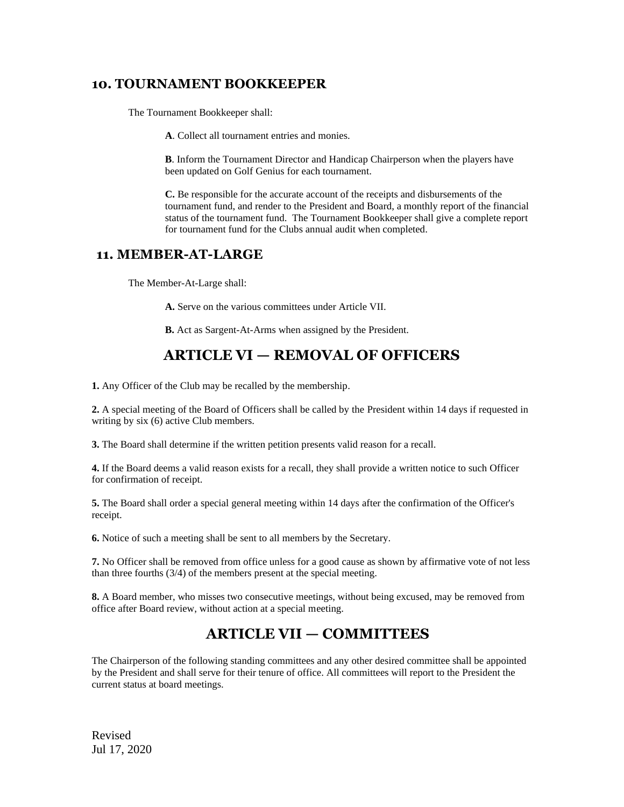#### **10. TOURNAMENT BOOKKEEPER**

The Tournament Bookkeeper shall:

**A**. Collect all tournament entries and monies.

**B**. Inform the Tournament Director and Handicap Chairperson when the players have been updated on Golf Genius for each tournament.

**C.** Be responsible for the accurate account of the receipts and disbursements of the tournament fund, and render to the President and Board, a monthly report of the financial status of the tournament fund. The Tournament Bookkeeper shall give a complete report for tournament fund for the Clubs annual audit when completed.

#### **11. MEMBER-AT-LARGE**

The Member-At-Large shall:

**A.** Serve on the various committees under Article VII.

**B.** Act as Sargent-At-Arms when assigned by the President.

### **ARTICLE VI — REMOVAL OF OFFICERS**

**1.** Any Officer of the Club may be recalled by the membership.

**2.** A special meeting of the Board of Officers shall be called by the President within 14 days if requested in writing by six (6) active Club members.

**3.** The Board shall determine if the written petition presents valid reason for a recall.

**4.** If the Board deems a valid reason exists for a recall, they shall provide a written notice to such Officer for confirmation of receipt.

**5.** The Board shall order a special general meeting within 14 days after the confirmation of the Officer's receipt.

**6.** Notice of such a meeting shall be sent to all members by the Secretary.

**7.** No Officer shall be removed from office unless for a good cause as shown by affirmative vote of not less than three fourths (3/4) of the members present at the special meeting.

**8.** A Board member, who misses two consecutive meetings, without being excused, may be removed from office after Board review, without action at a special meeting.

### **ARTICLE VII — COMMITTEES**

The Chairperson of the following standing committees and any other desired committee shall be appointed by the President and shall serve for their tenure of office. All committees will report to the President the current status at board meetings.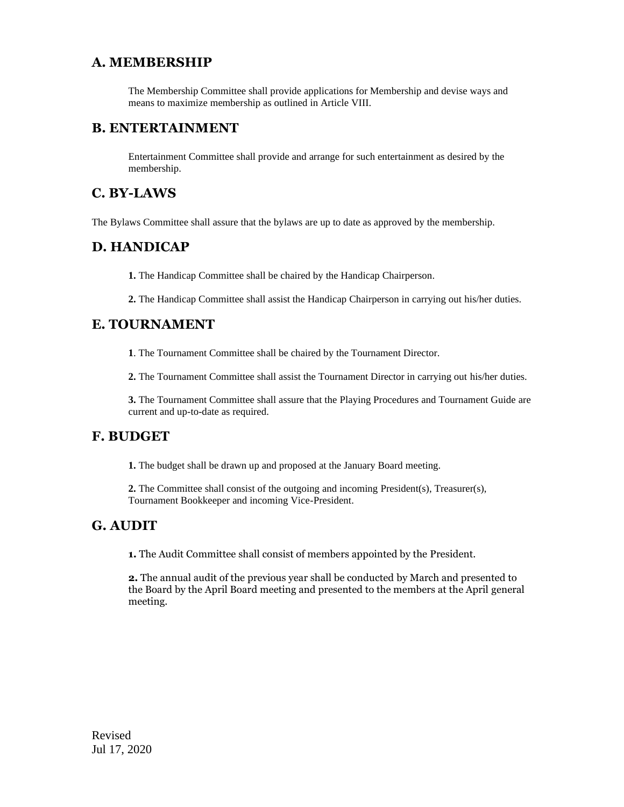### **A. MEMBERSHIP**

The Membership Committee shall provide applications for Membership and devise ways and means to maximize membership as outlined in Article VIII.

#### **B. ENTERTAINMENT**

Entertainment Committee shall provide and arrange for such entertainment as desired by the membership.

### **C. BY-LAWS**

The Bylaws Committee shall assure that the bylaws are up to date as approved by the membership.

### **D. HANDICAP**

**1.** The Handicap Committee shall be chaired by the Handicap Chairperson.

**2.** The Handicap Committee shall assist the Handicap Chairperson in carrying out his/her duties.

### **E. TOURNAMENT**

**1**. The Tournament Committee shall be chaired by the Tournament Director.

**2.** The Tournament Committee shall assist the Tournament Director in carrying out his/her duties.

**3.** The Tournament Committee shall assure that the Playing Procedures and Tournament Guide are current and up-to-date as required.

### **F. BUDGET**

**1.** The budget shall be drawn up and proposed at the January Board meeting.

**2.** The Committee shall consist of the outgoing and incoming President(s), Treasurer(s), Tournament Bookkeeper and incoming Vice-President.

### **G. AUDIT**

**1.** The Audit Committee shall consist of members appointed by the President.

**2.** The annual audit of the previous year shall be conducted by March and presented to the Board by the April Board meeting and presented to the members at the April general meeting.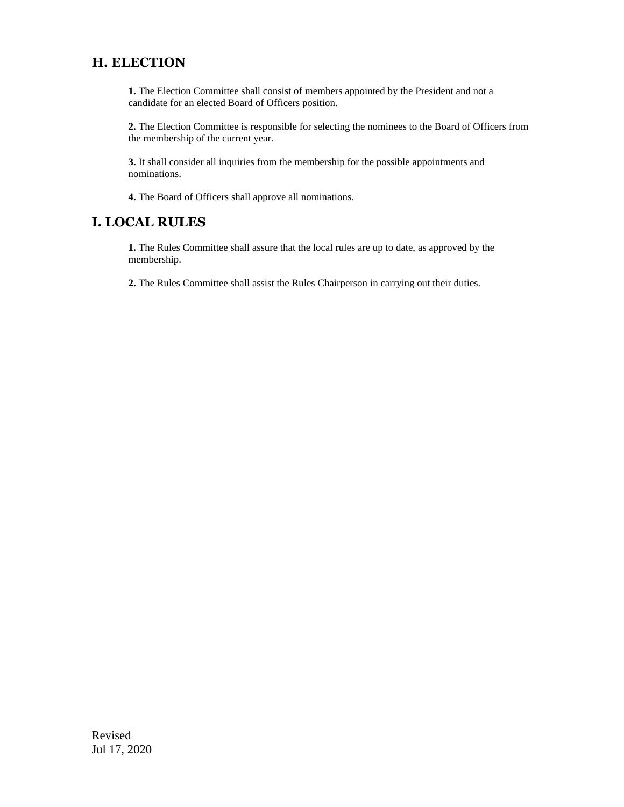### **H. ELECTION**

**1.** The Election Committee shall consist of members appointed by the President and not a candidate for an elected Board of Officers position.

**2.** The Election Committee is responsible for selecting the nominees to the Board of Officers from the membership of the current year.

**3.** It shall consider all inquiries from the membership for the possible appointments and nominations.

**4.** The Board of Officers shall approve all nominations.

### **I. LOCAL RULES**

**1.** The Rules Committee shall assure that the local rules are up to date, as approved by the membership.

**2.** The Rules Committee shall assist the Rules Chairperson in carrying out their duties.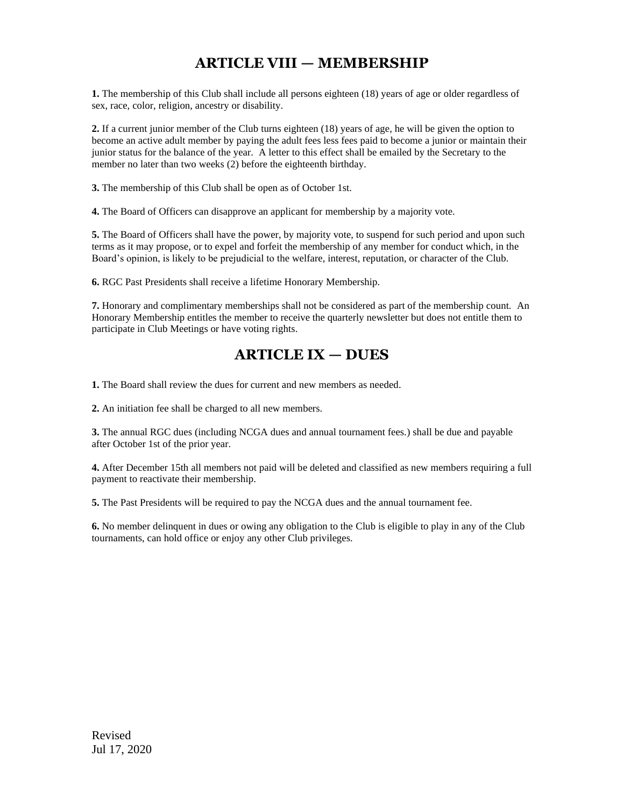## **ARTICLE VIII — MEMBERSHIP**

**1.** The membership of this Club shall include all persons eighteen (18) years of age or older regardless of sex, race, color, religion, ancestry or disability.

**2.** If a current junior member of the Club turns eighteen (18) years of age, he will be given the option to become an active adult member by paying the adult fees less fees paid to become a junior or maintain their junior status for the balance of the year. A letter to this effect shall be emailed by the Secretary to the member no later than two weeks (2) before the eighteenth birthday.

**3.** The membership of this Club shall be open as of October 1st.

**4.** The Board of Officers can disapprove an applicant for membership by a majority vote.

**5.** The Board of Officers shall have the power, by majority vote, to suspend for such period and upon such terms as it may propose, or to expel and forfeit the membership of any member for conduct which, in the Board's opinion, is likely to be prejudicial to the welfare, interest, reputation, or character of the Club.

**6.** RGC Past Presidents shall receive a lifetime Honorary Membership.

**7.** Honorary and complimentary memberships shall not be considered as part of the membership count. An Honorary Membership entitles the member to receive the quarterly newsletter but does not entitle them to participate in Club Meetings or have voting rights.

### **ARTICLE IX — DUES**

**1.** The Board shall review the dues for current and new members as needed.

**2.** An initiation fee shall be charged to all new members.

**3.** The annual RGC dues (including NCGA dues and annual tournament fees.) shall be due and payable after October 1st of the prior year.

**4.** After December 15th all members not paid will be deleted and classified as new members requiring a full payment to reactivate their membership.

**5.** The Past Presidents will be required to pay the NCGA dues and the annual tournament fee.

**6.** No member delinquent in dues or owing any obligation to the Club is eligible to play in any of the Club tournaments, can hold office or enjoy any other Club privileges.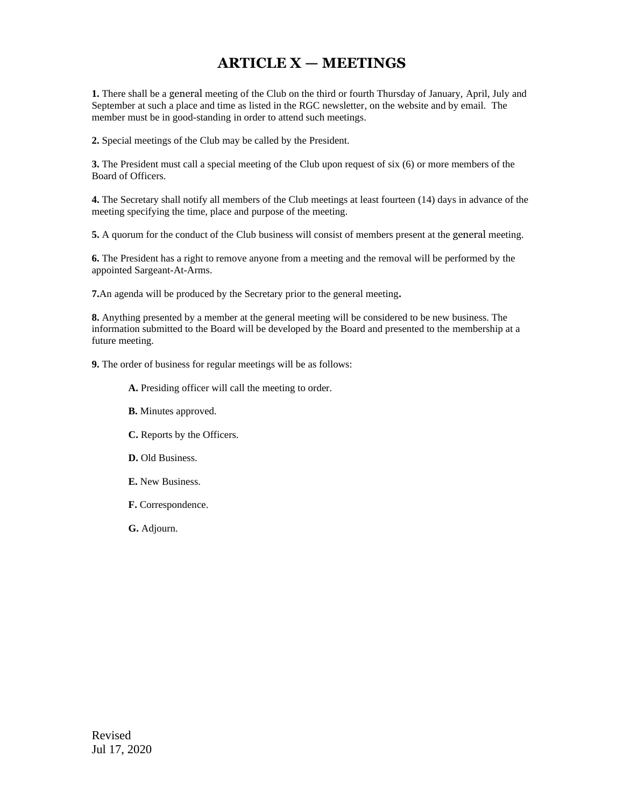## **ARTICLE X — MEETINGS**

**1.** There shall be a general meeting of the Club on the third or fourth Thursday of January, April, July and September at such a place and time as listed in the RGC newsletter, on the website and by email. The member must be in good-standing in order to attend such meetings.

**2.** Special meetings of the Club may be called by the President.

**3.** The President must call a special meeting of the Club upon request of six (6) or more members of the Board of Officers.

**4.** The Secretary shall notify all members of the Club meetings at least fourteen (14) days in advance of the meeting specifying the time, place and purpose of the meeting.

**5.** A quorum for the conduct of the Club business will consist of members present at the general meeting.

**6.** The President has a right to remove anyone from a meeting and the removal will be performed by the appointed Sargeant-At-Arms.

**7.**An agenda will be produced by the Secretary prior to the general meeting**.**

**8.** Anything presented by a member at the general meeting will be considered to be new business. The information submitted to the Board will be developed by the Board and presented to the membership at a future meeting.

**9.** The order of business for regular meetings will be as follows:

- **A.** Presiding officer will call the meeting to order.
- **B.** Minutes approved.
- **C.** Reports by the Officers.
- **D.** Old Business.
- **E.** New Business.
- **F.** Correspondence.

**G.** Adjourn.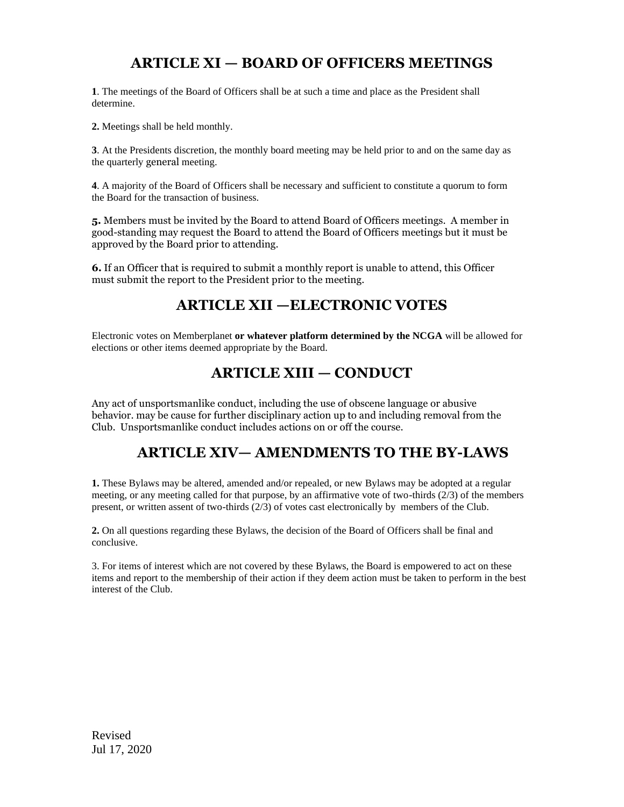### **ARTICLE XI — BOARD OF OFFICERS MEETINGS**

**1**. The meetings of the Board of Officers shall be at such a time and place as the President shall determine.

**2.** Meetings shall be held monthly.

**3**. At the Presidents discretion, the monthly board meeting may be held prior to and on the same day as the quarterly general meeting.

**4**. A majority of the Board of Officers shall be necessary and sufficient to constitute a quorum to form the Board for the transaction of business.

**5.** Members must be invited by the Board to attend Board of Officers meetings. A member in good-standing may request the Board to attend the Board of Officers meetings but it must be approved by the Board prior to attending.

**6.** If an Officer that is required to submit a monthly report is unable to attend, this Officer must submit the report to the President prior to the meeting.

### **ARTICLE XII —ELECTRONIC VOTES**

Electronic votes on Memberplanet **or whatever platform determined by the NCGA** will be allowed for elections or other items deemed appropriate by the Board.

### **ARTICLE XIII — CONDUCT**

Any act of unsportsmanlike conduct, including the use of obscene language or abusive behavior. may be cause for further disciplinary action up to and including removal from the Club. Unsportsmanlike conduct includes actions on or off the course.

### **ARTICLE XIV— AMENDMENTS TO THE BY-LAWS**

**1.** These Bylaws may be altered, amended and/or repealed, or new Bylaws may be adopted at a regular meeting, or any meeting called for that purpose, by an affirmative vote of two-thirds (2/3) of the members present, or written assent of two-thirds (2/3) of votes cast electronically by members of the Club.

**2.** On all questions regarding these Bylaws, the decision of the Board of Officers shall be final and conclusive.

3. For items of interest which are not covered by these Bylaws, the Board is empowered to act on these items and report to the membership of their action if they deem action must be taken to perform in the best interest of the Club.